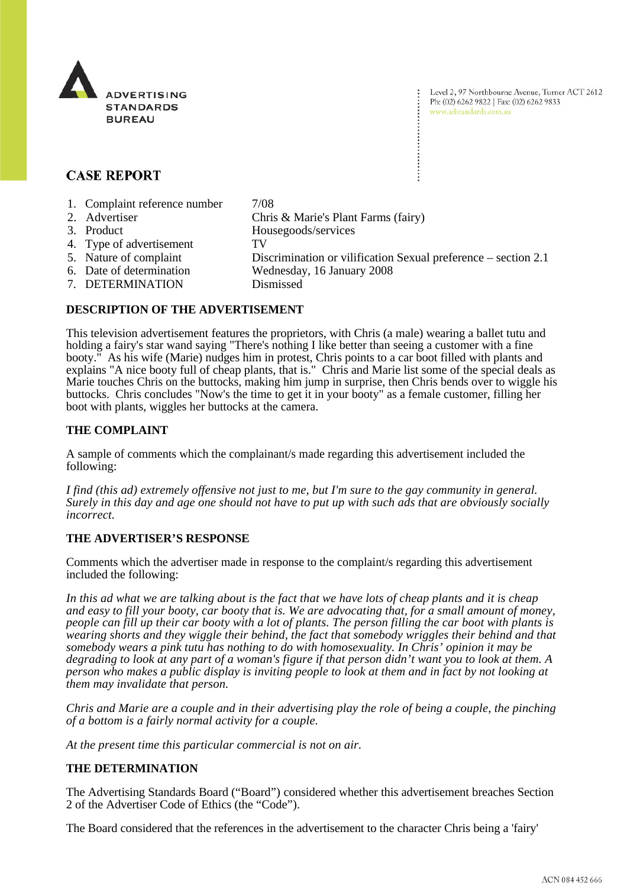

Level 2, 97 Northbourne Avenue, Turner ACT 2612 Ph: (02) 6262 9822 | Fax: (02) 6262 9833 www.adstandards.com.au

## **CASE REPORT**

- 1. Complaint reference number 7/08
- 2. Advertiser Chris & Marie's Plant Farms (fairy)
- 3. Product Housegoods/services
- 4. Type of advertisement TV
- 
- 5. Nature of complaint Discrimination or vilification Sexual preference section 2.1<br>6. Date of determination Wednesday, 16 January 2008
- 
- 7. DETERMINATION Dismissed

# Wednesday, 16 January 2008

**DESCRIPTION OF THE ADVERTISEMENT**

This television advertisement features the proprietors, with Chris (a male) wearing a ballet tutu and holding a fairy's star wand saying "There's nothing I like better than seeing a customer with a fine booty." As his wife (Marie) nudges him in protest, Chris points to a car boot filled with plants and explains "A nice booty full of cheap plants, that is." Chris and Marie list some of the special deals as Marie touches Chris on the buttocks, making him jump in surprise, then Chris bends over to wiggle his buttocks. Chris concludes "Now's the time to get it in your booty" as a female customer, filling her boot with plants, wiggles her buttocks at the camera.

#### **THE COMPLAINT**

A sample of comments which the complainant/s made regarding this advertisement included the following:

*I find (this ad) extremely offensive not just to me, but I'm sure to the gay community in general. Surely in this day and age one should not have to put up with such ads that are obviously socially incorrect.*

#### **THE ADVERTISER'S RESPONSE**

Comments which the advertiser made in response to the complaint/s regarding this advertisement included the following:

*In this ad what we are talking about is the fact that we have lots of cheap plants and it is cheap and easy to fill your booty, car booty that is. We are advocating that, for a small amount of money, people can fill up their car booty with a lot of plants. The person filling the car boot with plants is wearing shorts and they wiggle their behind, the fact that somebody wriggles their behind and that somebody wears a pink tutu has nothing to do with homosexuality. In Chris' opinion it may be degrading to look at any part of a woman's figure if that person didn't want you to look at them. A person who makes a public display is inviting people to look at them and in fact by not looking at them may invalidate that person.* 

*Chris and Marie are a couple and in their advertising play the role of being a couple, the pinching of a bottom is a fairly normal activity for a couple.* 

*At the present time this particular commercial is not on air.*

### **THE DETERMINATION**

The Advertising Standards Board ("Board") considered whether this advertisement breaches Section 2 of the Advertiser Code of Ethics (the "Code").

The Board considered that the references in the advertisement to the character Chris being a 'fairy'